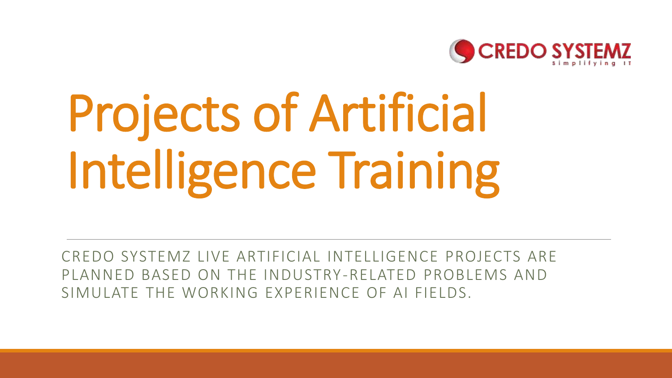

# Projects of Artificial Intelligence Training

CREDO SYSTEMZ LIVE ARTIFICIAL INTELLIGENCE PROJECTS ARE PLANNED BASED ON THE INDUSTRY-RELATED PROBLEMS AND SIMULATE THE WORKING EXPERIENCE OF AI FIELDS.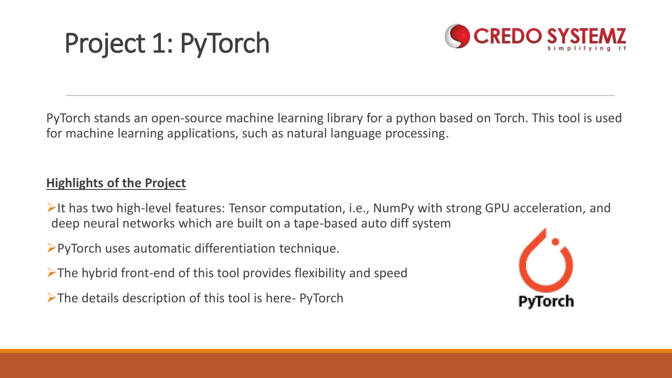## Project 1: PyTorch



PyTorch stands an open-source machine learning library for a python based on Torch. This tool is used for machine learning applications, such as natural language processing.

#### **Highlights of the Project**

 $\triangleright$ It has two high-level features: Tensor computation, i.e., NumPy with strong GPU acceleration, and deep neural networks which are built on a tape-based auto diff system

PyTorch uses automatic differentiation technique.

 $\triangleright$ The hybrid front-end of this tool provides flexibility and speed

 $\triangleright$ The details description of this tool is here- PyTorch

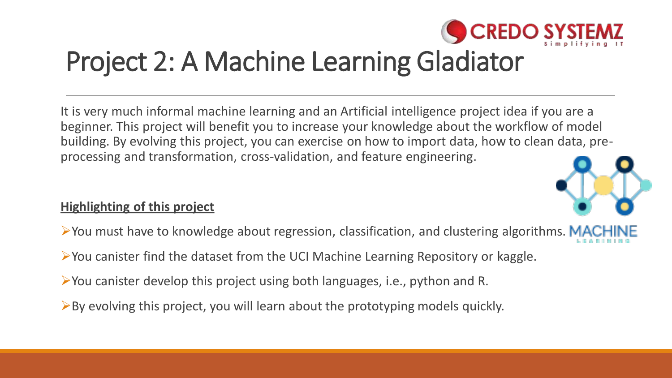

### Project 2: A Machine Learning Gladiator

It is very much informal machine learning and an Artificial intelligence project idea if you are a beginner. This project will benefit you to increase your knowledge about the workflow of model building. By evolving this project, you can exercise on how to import data, how to clean data, preprocessing and transformation, cross-validation, and feature engineering.



#### **Highlighting of this project**

- $\triangleright$  You must have to knowledge about regression, classification, and clustering algorithms. MA
- You canister find the dataset from the UCI Machine Learning Repository or kaggle.
- You canister develop this project using both languages, i.e., python and R.
- $\triangleright$  By evolving this project, you will learn about the prototyping models quickly.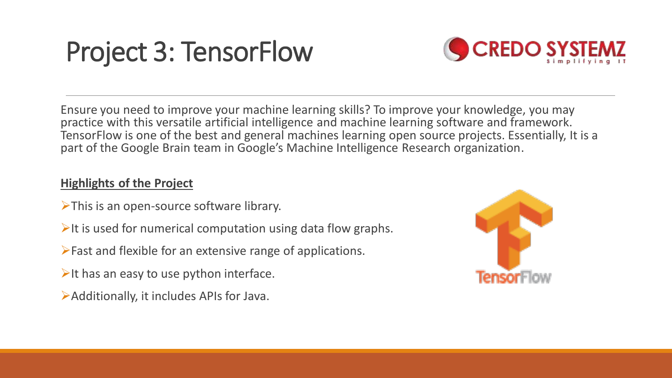## Project 3: TensorFlow



Ensure you need to improve your machine learning skills? To improve your knowledge, you may practice with this versatile artificial intelligence and machine learning software and framework. TensorFlow is one of the best and general machines learning open source projects. Essentially, It is a part of the Google Brain team in Google's Machine Intelligence Research organization.

#### **Highlights of the Project**

- $\triangleright$ This is an open-source software library.
- It is used for numerical computation using data flow graphs.
- Fast and flexible for an extensive range of applications.
- $\triangleright$ It has an easy to use python interface.
- Additionally, it includes APIs for Java.